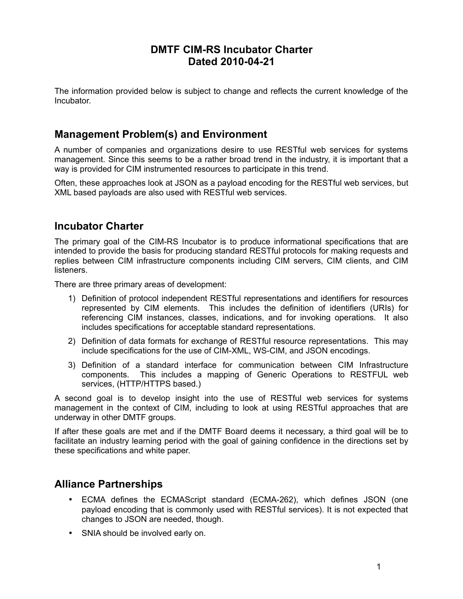### **DMTF CIM-RS Incubator Charter Dated 2010-04-21**

The information provided below is subject to change and reflects the current knowledge of the Incubator.

### **Management Problem(s) and Environment**

A number of companies and organizations desire to use RESTful web services for systems management. Since this seems to be a rather broad trend in the industry, it is important that a way is provided for CIM instrumented resources to participate in this trend.

Often, these approaches look at JSON as a payload encoding for the RESTful web services, but XML based payloads are also used with RESTful web services.

#### **Incubator Charter**

The primary goal of the CIM-RS Incubator is to produce informational specifications that are intended to provide the basis for producing standard RESTful protocols for making requests and replies between CIM infrastructure components including CIM servers, CIM clients, and CIM **listeners** 

There are three primary areas of development:

- 1) Definition of protocol independent RESTful representations and identifiers for resources represented by CIM elements. This includes the definition of identifiers (URIs) for referencing CIM instances, classes, indications, and for invoking operations. It also includes specifications for acceptable standard representations.
- 2) Definition of data formats for exchange of RESTful resource representations. This may include specifications for the use of CIM-XML, WS-CIM, and JSON encodings.
- 3) Definition of a standard interface for communication between CIM Infrastructure components. This includes a mapping of Generic Operations to RESTFUL web services, (HTTP/HTTPS based.)

A second goal is to develop insight into the use of RESTful web services for systems management in the context of CIM, including to look at using RESTful approaches that are underway in other DMTF groups.

If after these goals are met and if the DMTF Board deems it necessary, a third goal will be to facilitate an industry learning period with the goal of gaining confidence in the directions set by these specifications and white paper.

#### **Alliance Partnerships**

- ECMA defines the ECMAScript standard (ECMA-262), which defines JSON (one payload encoding that is commonly used with RESTful services). It is not expected that changes to JSON are needed, though.
- SNIA should be involved early on.